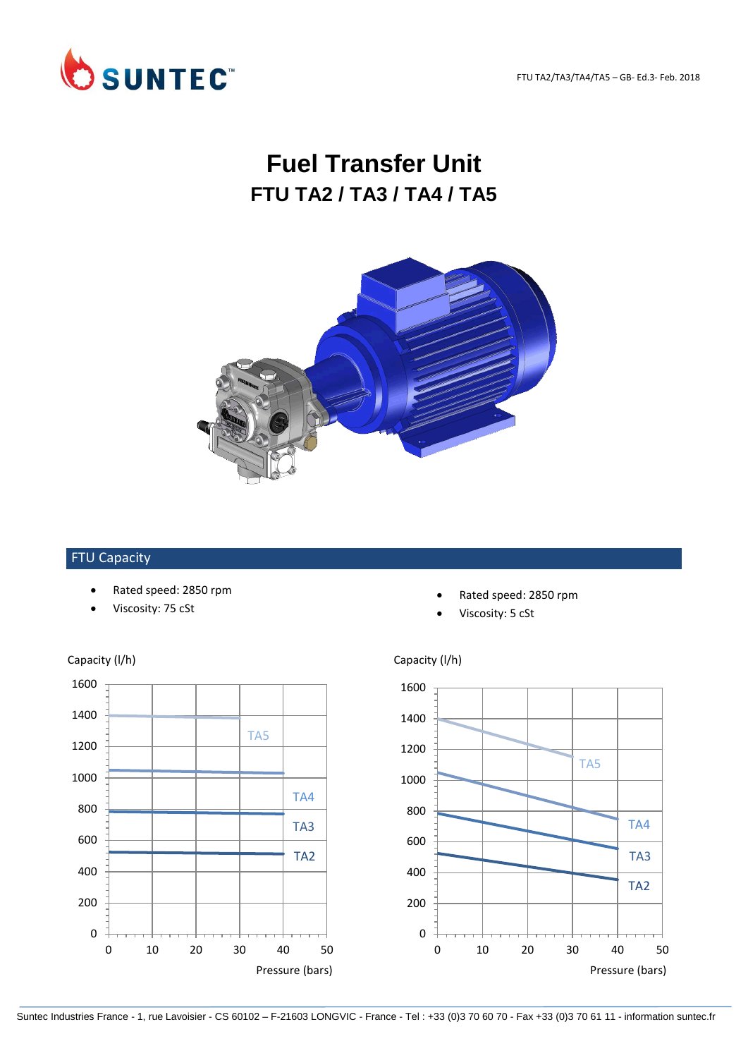FTU TA2/TA3/TA4/TA5 – GB- Ed.3- Feb. 2018



# **Fuel Transfer Unit FTU TA2 / TA3 / TA4 / TA5**



#### FTU Capacity

- Rated speed: 2850 rpm
- Viscosity: 75 cSt



Viscosity: 5 cSt



## 0 200 400 600 800 1000 1200 1400 1600 0 10 20 30 40 50 TA2 TA4 TA5 TA3

### Capacity (I/h) Capacity (I/h)